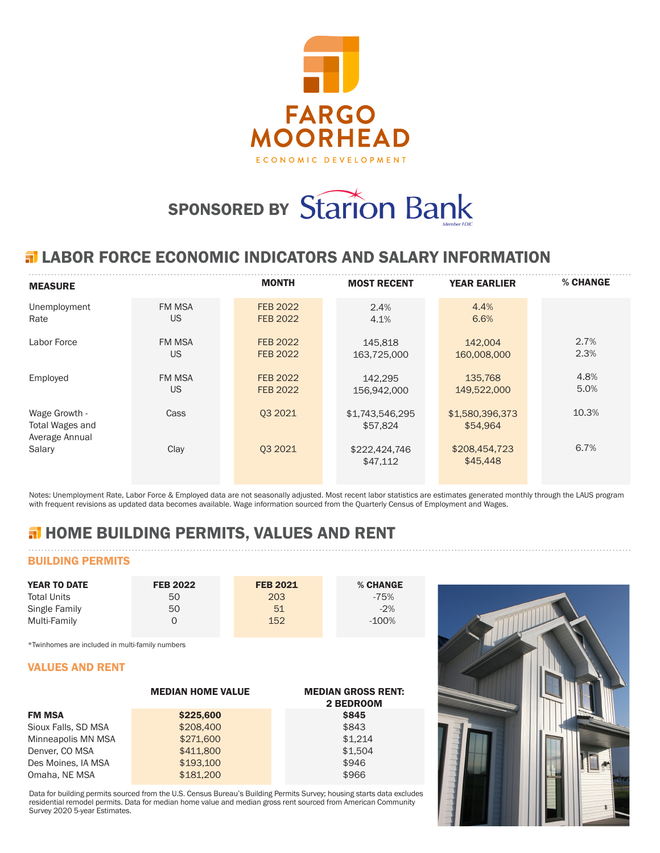

# SPONSORED BY Starion Bank

## **ELABOR FORCE ECONOMIC INDICATORS AND SALARY INFORMATION**

| <b>MEASURE</b>                                     |               | <b>MONTH</b>    | <b>MOST RECENT</b>          | <b>YEAR EARLIER</b>         | % CHANGE |
|----------------------------------------------------|---------------|-----------------|-----------------------------|-----------------------------|----------|
| Unemployment                                       | <b>FM MSA</b> | <b>FEB 2022</b> | 2.4%                        | 4.4%                        |          |
| Rate                                               | <b>US</b>     | <b>FEB 2022</b> | 4.1%                        | 6.6%                        |          |
| Labor Force                                        | <b>FM MSA</b> | FEB 2022        | 145.818                     | 142,004                     | 2.7%     |
|                                                    | US            | <b>FEB 2022</b> | 163,725,000                 | 160,008,000                 | 2.3%     |
| Employed                                           | <b>FM MSA</b> | <b>FEB 2022</b> | 142.295                     | 135,768                     | 4.8%     |
|                                                    | US            | <b>FEB 2022</b> | 156,942,000                 | 149,522,000                 | 5.0%     |
| Wage Growth -<br>Total Wages and<br>Average Annual | Cass          | 03 20 21        | \$1,743,546,295<br>\$57,824 | \$1,580,396,373<br>\$54.964 | 10.3%    |
| Salary                                             | Clay          | 03 20 21        | \$222,424,746<br>\$47,112   | \$208,454,723<br>\$45,448   | 6.7%     |

Notes: Unemployment Rate, Labor Force & Employed data are not seasonally adjusted. Most recent labor statistics are estimates generated monthly through the LAUS program with frequent revisions as updated data becomes available. Wage information sourced from the Quarterly Census of Employment and Wages.

# **H** HOME BUILDING PERMITS, VALUES AND RENT

## BUILDING PERMITS

| <b>YEAR TO DATE</b> | <b>FEB 2022</b> | <b>FEB 2021</b> | % CHANGE |
|---------------------|-----------------|-----------------|----------|
| <b>Total Units</b>  | 50              | 203             | $-75%$   |
| Single Family       | 50              | 51              | $-2%$    |
| Multi-Family        |                 | 152             | $-100\%$ |

\*Twinhomes are included in multi-family numbers

### VALUES AND RENT

|                     | <b>MEDIAN HOME VALUE</b> | <b>MEDIAN GROSS RENT:</b><br>2 BEDROOM |
|---------------------|--------------------------|----------------------------------------|
| <b>FM MSA</b>       | \$225,600                | <b>\$845</b>                           |
| Sioux Falls, SD MSA | \$208,400                | \$843                                  |
| Minneapolis MN MSA  | \$271,600                | \$1.214                                |
| Denver, CO MSA      | \$411,800                | \$1.504                                |
| Des Moines, IA MSA  | \$193,100                | \$946                                  |
| Omaha, NE MSA       | \$181,200                | \$966                                  |

Data for building permits sourced from the U.S. Census Bureau's Building Permits Survey; housing starts data excludes residential remodel permits. Data for median home value and median gross rent sourced from American Community Survey 2020 5-year Estimates.